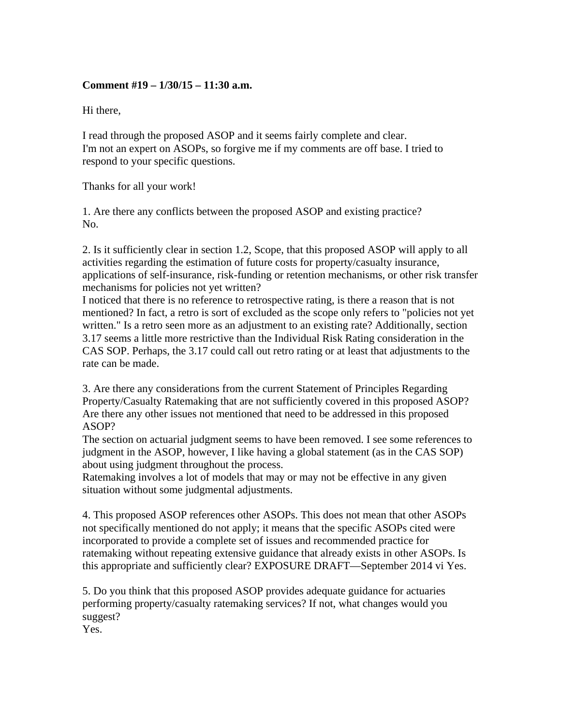## **Comment #19 – 1/30/15 – 11:30 a.m.**

Hi there,

I read through the proposed ASOP and it seems fairly complete and clear. I'm not an expert on ASOPs, so forgive me if my comments are off base. I tried to respond to your specific questions.

Thanks for all your work!

1. Are there any conflicts between the proposed ASOP and existing practice? No.

2. Is it sufficiently clear in section 1.2, Scope, that this proposed ASOP will apply to all activities regarding the estimation of future costs for property/casualty insurance, applications of self-insurance, risk-funding or retention mechanisms, or other risk transfer mechanisms for policies not yet written?

I noticed that there is no reference to retrospective rating, is there a reason that is not mentioned? In fact, a retro is sort of excluded as the scope only refers to "policies not yet written." Is a retro seen more as an adjustment to an existing rate? Additionally, section 3.17 seems a little more restrictive than the Individual Risk Rating consideration in the CAS SOP. Perhaps, the 3.17 could call out retro rating or at least that adjustments to the rate can be made.

3. Are there any considerations from the current Statement of Principles Regarding Property/Casualty Ratemaking that are not sufficiently covered in this proposed ASOP? Are there any other issues not mentioned that need to be addressed in this proposed ASOP?

The section on actuarial judgment seems to have been removed. I see some references to judgment in the ASOP, however, I like having a global statement (as in the CAS SOP) about using judgment throughout the process.

Ratemaking involves a lot of models that may or may not be effective in any given situation without some judgmental adjustments.

4. This proposed ASOP references other ASOPs. This does not mean that other ASOPs not specifically mentioned do not apply; it means that the specific ASOPs cited were incorporated to provide a complete set of issues and recommended practice for ratemaking without repeating extensive guidance that already exists in other ASOPs. Is this appropriate and sufficiently clear? EXPOSURE DRAFT—September 2014 vi Yes.

5. Do you think that this proposed ASOP provides adequate guidance for actuaries performing property/casualty ratemaking services? If not, what changes would you suggest?

Yes.